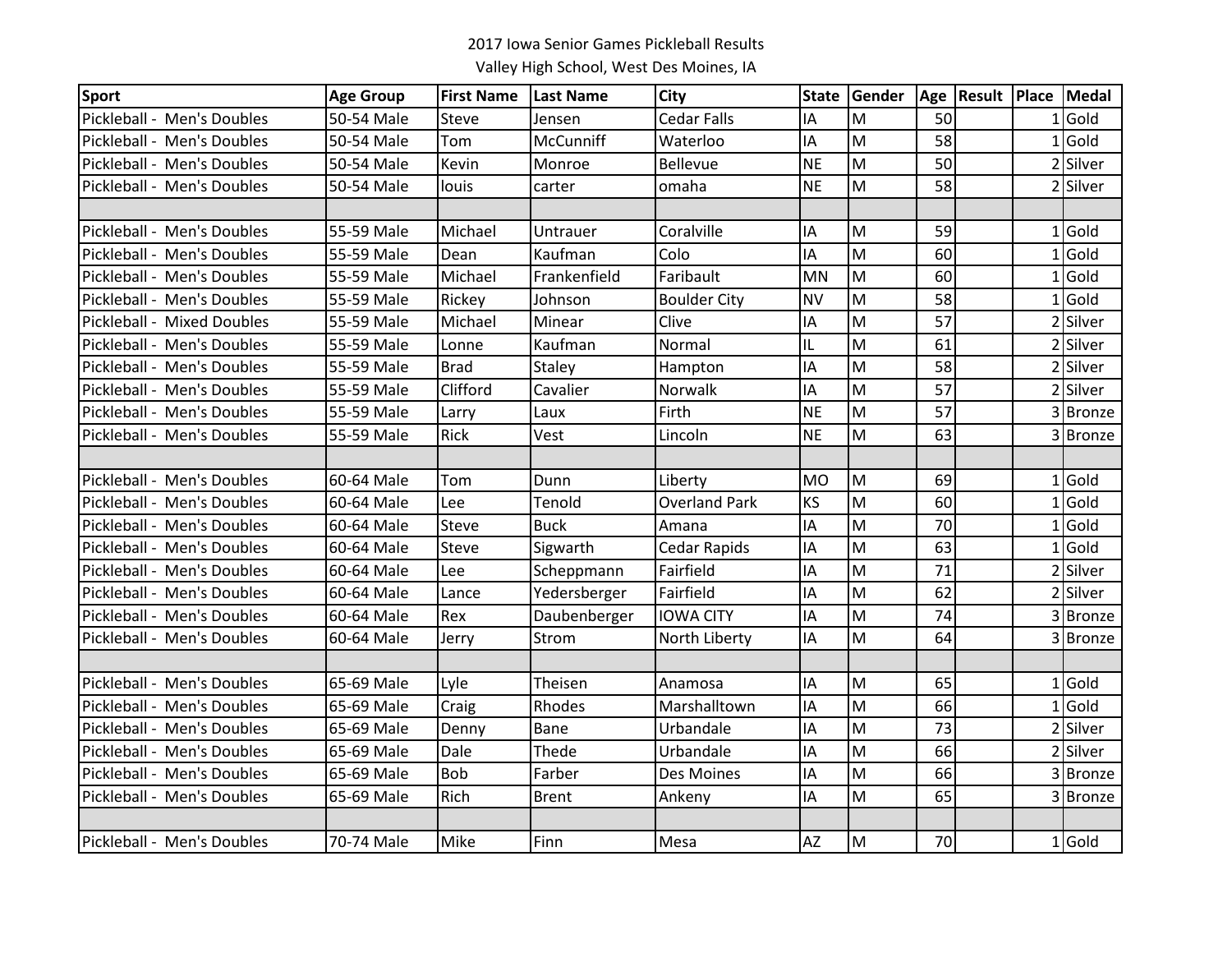| <b>Sport</b>               | <b>Age Group</b> | <b>First Name</b> | <b>Last Name</b> | <b>City</b>          |           | State Gender | Age | Result Place | Medal    |
|----------------------------|------------------|-------------------|------------------|----------------------|-----------|--------------|-----|--------------|----------|
| Pickleball - Men's Doubles | 50-54 Male       | <b>Steve</b>      | Jensen           | <b>Cedar Falls</b>   | IA        | M            | 50  |              | $1$ Gold |
| Pickleball - Men's Doubles | 50-54 Male       | Tom               | McCunniff        | Waterloo             | IA        | M            | 58  |              | $1$ Gold |
| Pickleball - Men's Doubles | 50-54 Male       | Kevin             | Monroe           | <b>Bellevue</b>      | <b>NE</b> | M            | 50  |              | 2 Silver |
| Pickleball - Men's Doubles | 50-54 Male       | louis             | carter           | omaha                | <b>NE</b> | M            | 58  |              | 2 Silver |
|                            |                  |                   |                  |                      |           |              |     |              |          |
| Pickleball - Men's Doubles | 55-59 Male       | Michael           | Untrauer         | Coralville           | IA        | M            | 59  |              | $1$ Gold |
| Pickleball - Men's Doubles | 55-59 Male       | Dean              | Kaufman          | Colo                 | IA        | M            | 60  |              | $1$ Gold |
| Pickleball - Men's Doubles | 55-59 Male       | Michael           | Frankenfield     | Faribault            | <b>MN</b> | M            | 60  |              | $1$ Gold |
| Pickleball - Men's Doubles | 55-59 Male       | Rickey            | Johnson          | <b>Boulder City</b>  | <b>NV</b> | M            | 58  |              | $1$ Gold |
| Pickleball - Mixed Doubles | 55-59 Male       | Michael           | Minear           | Clive                | IA        | M            | 57  |              | Silver   |
| Pickleball - Men's Doubles | 55-59 Male       | Lonne             | Kaufman          | Normal               | IL        | M            | 61  |              | 2 Silver |
| Pickleball - Men's Doubles | 55-59 Male       | <b>Brad</b>       | Staley           | Hampton              | IA        | M            | 58  |              | 2 Silver |
| Pickleball - Men's Doubles | 55-59 Male       | Clifford          | Cavalier         | Norwalk              | IA        | M            | 57  |              | 2 Silver |
| Pickleball - Men's Doubles | 55-59 Male       | Larry             | Laux             | Firth                | <b>NE</b> | M            | 57  |              | 3 Bronze |
| Pickleball - Men's Doubles | 55-59 Male       | Rick              | Vest             | Lincoln              | <b>NE</b> | M            | 63  |              | 3 Bronze |
|                            |                  |                   |                  |                      |           |              |     |              |          |
| Pickleball - Men's Doubles | 60-64 Male       | Tom               | Dunn             | Liberty              | <b>MO</b> | M            | 69  |              | $1$ Gold |
| Pickleball - Men's Doubles | 60-64 Male       | Lee               | Tenold           | <b>Overland Park</b> | <b>KS</b> | M            | 60  |              | LGold    |
| Pickleball - Men's Doubles | 60-64 Male       | <b>Steve</b>      | <b>Buck</b>      | Amana                | IA        | M            | 70  |              | $1$ Gold |
| Pickleball - Men's Doubles | 60-64 Male       | <b>Steve</b>      | Sigwarth         | <b>Cedar Rapids</b>  | IA        | M            | 63  |              | $1$ Gold |
| Pickleball - Men's Doubles | 60-64 Male       | Lee               | Scheppmann       | Fairfield            | IA        | M            | 71  |              | 2 Silver |
| Pickleball - Men's Doubles | 60-64 Male       | Lance             | Yedersberger     | Fairfield            | IA        | M            | 62  |              | 2 Silver |
| Pickleball - Men's Doubles | 60-64 Male       | Rex               | Daubenberger     | <b>IOWA CITY</b>     | IA        | M            | 74  |              | 3Bronze  |
| Pickleball - Men's Doubles | 60-64 Male       | Jerry             | Strom            | North Liberty        | IA        | M            | 64  |              | 3 Bronze |
|                            |                  |                   |                  |                      |           |              |     |              |          |
| Pickleball - Men's Doubles | 65-69 Male       | Lyle              | Theisen          | Anamosa              | IA        | M            | 65  |              | LGold    |
| Pickleball - Men's Doubles | 65-69 Male       | Craig             | Rhodes           | Marshalltown         | IA        | M            | 66  |              | $1$ Gold |
| Pickleball - Men's Doubles | 65-69 Male       | Denny             | <b>Bane</b>      | Urbandale            | IA        | M            | 73  |              | 2 Silver |
| Pickleball - Men's Doubles | 65-69 Male       | Dale              | Thede            | Urbandale            | IA        | M            | 66  |              | 2 Silver |
| Pickleball - Men's Doubles | 65-69 Male       | <b>Bob</b>        | Farber           | Des Moines           | IA        | M            | 66  |              | 3 Bronze |
| Pickleball - Men's Doubles | 65-69 Male       | Rich              | <b>Brent</b>     | Ankeny               | IA        | M            | 65  |              | 3 Bronze |
|                            |                  |                   |                  |                      |           |              |     |              |          |
| Pickleball - Men's Doubles | 70-74 Male       | Mike              | Finn             | Mesa                 | ΑZ        | M            | 70  |              | $1$ Gold |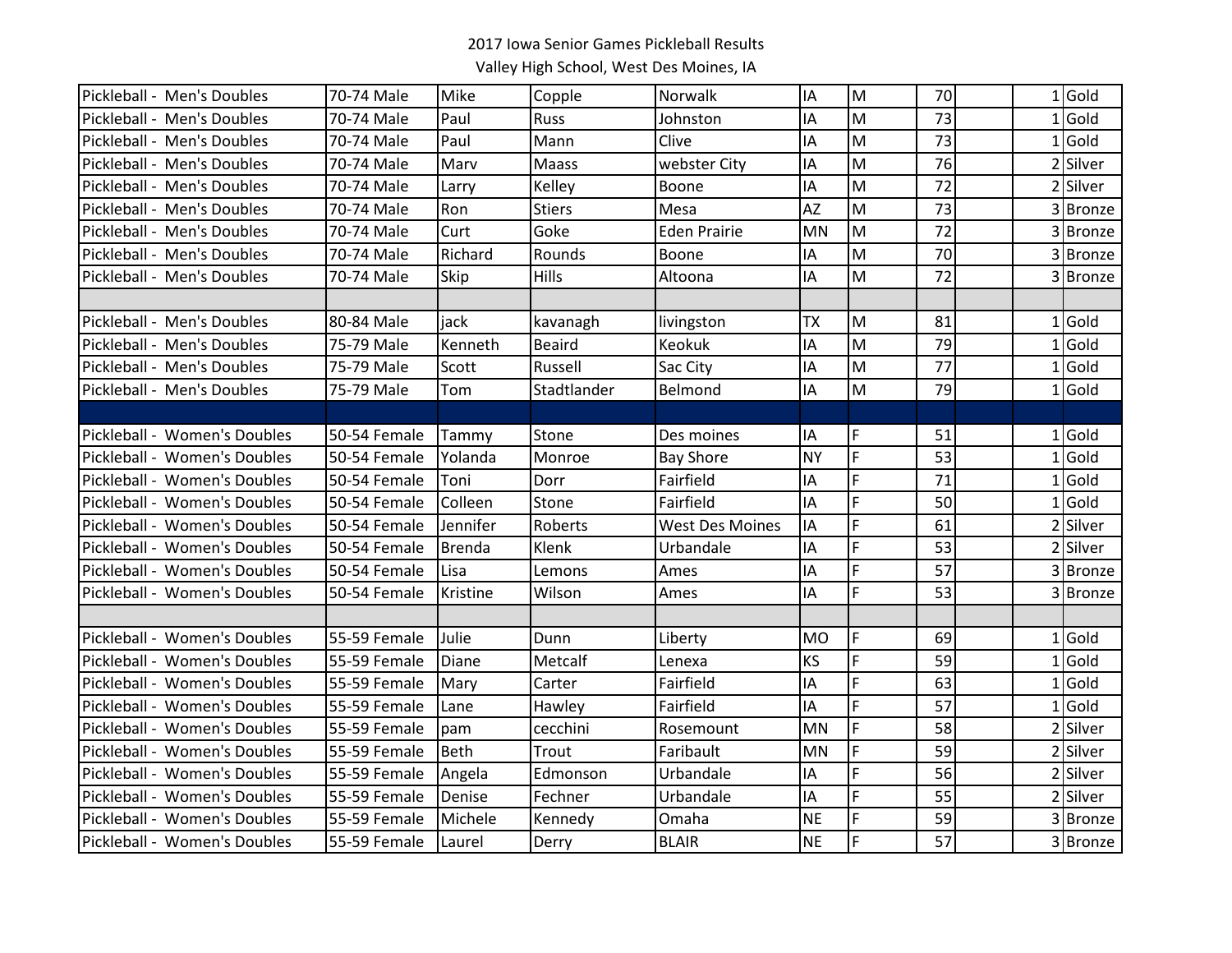| Pickleball - Men's Doubles   | 70-74 Male   | Mike          | Copple        | Norwalk                | IA        | M              | 70              | $1$ Gold |
|------------------------------|--------------|---------------|---------------|------------------------|-----------|----------------|-----------------|----------|
| Pickleball - Men's Doubles   | 70-74 Male   | Paul          | <b>Russ</b>   | Johnston               | IA        | M              | 73              | $1$ Gold |
| Pickleball - Men's Doubles   | 70-74 Male   | Paul          | Mann          | Clive                  | IA        | M              | 73              | $1$ Gold |
| Pickleball - Men's Doubles   | 70-74 Male   | Marv          | Maass         | webster City           | IA        | M              | 76              | 2 Silver |
| Pickleball - Men's Doubles   | 70-74 Male   | Larry         | Kelley        | Boone                  | IA        | M              | $\overline{72}$ | 2 Silver |
| Pickleball - Men's Doubles   | 70-74 Male   | Ron           | <b>Stiers</b> | Mesa                   | <b>AZ</b> | M              | 73              | 3 Bronze |
| Pickleball - Men's Doubles   | 70-74 Male   | Curt          | Goke          | <b>Eden Prairie</b>    | <b>MN</b> | M              | 72              | 3 Bronze |
| Pickleball - Men's Doubles   | 70-74 Male   | Richard       | Rounds        | Boone                  | IA        | M              | 70              | 3 Bronze |
| Pickleball - Men's Doubles   | 70-74 Male   | Skip          | <b>Hills</b>  | Altoona                | IA        | M              | 72              | 3 Bronze |
|                              |              |               |               |                        |           |                |                 |          |
| Pickleball - Men's Doubles   | 80-84 Male   | jack          | kavanagh      | livingston             | <b>TX</b> | M              | 81              | $1$ Gold |
| Pickleball - Men's Doubles   | 75-79 Male   | Kenneth       | <b>Beaird</b> | <b>Keokuk</b>          | IA        | M              | 79              | $1$ Gold |
| Pickleball - Men's Doubles   | 75-79 Male   | Scott         | Russell       | Sac City               | IA        | M              | 77              | $1$ Gold |
| Pickleball - Men's Doubles   | 75-79 Male   | Tom           | Stadtlander   | Belmond                | IA        | M              | 79              | $1$ Gold |
|                              |              |               |               |                        |           |                |                 |          |
| Pickleball - Women's Doubles | 50-54 Female | Tammy         | Stone         | Des moines             | IA        | F              | 51              | $1$ Gold |
| Pickleball - Women's Doubles | 50-54 Female | Yolanda       | Monroe        | <b>Bay Shore</b>       | <b>NY</b> | F              | 53              | $1$ Gold |
| Pickleball - Women's Doubles | 50-54 Female | Toni          | Dorr          | Fairfield              | ΙA        | F              | 71              | $1$ Gold |
| Pickleball - Women's Doubles | 50-54 Female | Colleen       | Stone         | Fairfield              | IA        | F              | 50              | $1$ Gold |
| Pickleball - Women's Doubles | 50-54 Female | Jennifer      | Roberts       | <b>West Des Moines</b> | IA        | F              | 61              | 2 Silver |
| Pickleball - Women's Doubles | 50-54 Female | <b>Brenda</b> | Klenk         | Urbandale              | IA        | F              | 53              | 2 Silver |
| Pickleball - Women's Doubles | 50-54 Female | Lisa          | Lemons        | Ames                   | IA        | F              | 57              | 3 Bronze |
| Pickleball - Women's Doubles | 50-54 Female | Kristine      | Wilson        | Ames                   | IA        | F              | 53              | 3 Bronze |
|                              |              |               |               |                        |           |                |                 |          |
| Pickleball - Women's Doubles | 55-59 Female | Julie         | Dunn          | Liberty                | <b>MO</b> | F              | 69              | $1$ Gold |
| Pickleball - Women's Doubles | 55-59 Female | Diane         | Metcalf       | Lenexa                 | <b>KS</b> | $\overline{F}$ | 59              | $1$ Gold |
| Pickleball - Women's Doubles | 55-59 Female | Mary          | Carter        | Fairfield              | IA        | F              | 63              | $1$ Gold |
| Pickleball - Women's Doubles | 55-59 Female | Lane          | Hawley        | Fairfield              | IA        | F              | 57              | $1$ Gold |
| Pickleball - Women's Doubles | 55-59 Female | pam           | cecchini      | Rosemount              | <b>MN</b> | F              | 58              | 2 Silver |
| Pickleball - Women's Doubles | 55-59 Female | <b>Beth</b>   | Trout         | Faribault              | <b>MN</b> | F              | 59              | 2 Silver |
| Pickleball - Women's Doubles | 55-59 Female | Angela        | Edmonson      | Urbandale              | IA        | F              | 56              | 2 Silver |
| Pickleball - Women's Doubles | 55-59 Female | Denise        | Fechner       | Urbandale              | IA        | $\mathsf F$    | 55              | 2 Silver |
| Pickleball - Women's Doubles | 55-59 Female | Michele       | Kennedy       | Omaha                  | <b>NE</b> | $\mathsf F$    | 59              | 3 Bronze |
| Pickleball - Women's Doubles | 55-59 Female | Laurel        | Derry         | <b>BLAIR</b>           | <b>NE</b> | F              | $\overline{57}$ | 3 Bronze |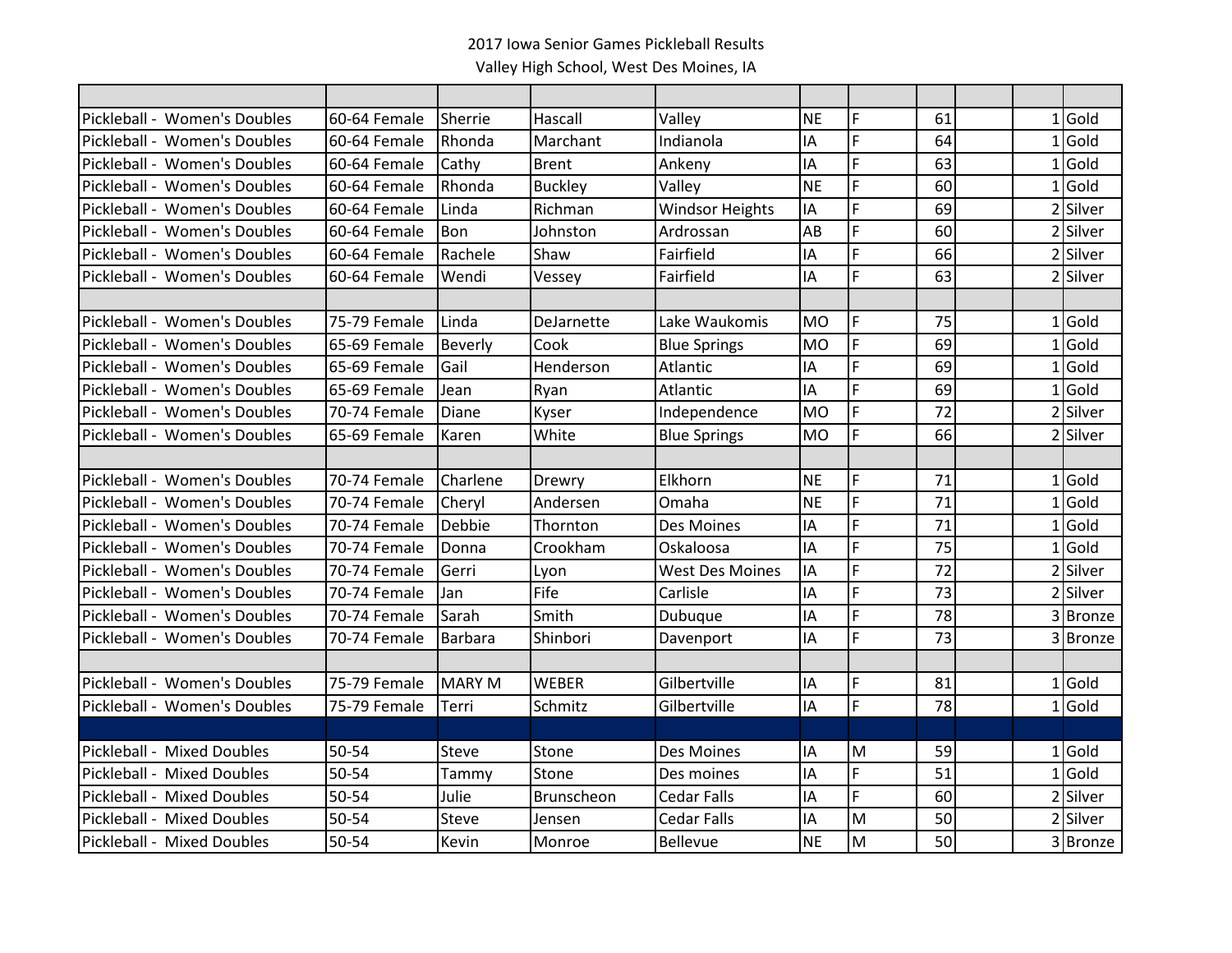| Pickleball - Women's Doubles | 60-64 Female | Sherrie       | Hascall        | Valley                 | <b>NE</b> | F  | 61 |  | 1Gold    |
|------------------------------|--------------|---------------|----------------|------------------------|-----------|----|----|--|----------|
| Pickleball - Women's Doubles | 60-64 Female | Rhonda        | Marchant       | Indianola              | IA        | F  | 64 |  | $1$ Gold |
| Pickleball - Women's Doubles | 60-64 Female | Cathy         | <b>Brent</b>   | Ankeny                 | IA        | F  | 63 |  | $1$ Gold |
| Pickleball - Women's Doubles | 60-64 Female | Rhonda        | <b>Buckley</b> | Valley                 | <b>NE</b> | F  | 60 |  | $1$ Gold |
| Pickleball - Women's Doubles | 60-64 Female | Linda         | Richman        | <b>Windsor Heights</b> | IA        | F  | 69 |  | 2 Silver |
| Pickleball - Women's Doubles | 60-64 Female | Bon           | Johnston       | Ardrossan              | AB        | F  | 60 |  | 2 Silver |
| Pickleball - Women's Doubles | 60-64 Female | Rachele       | Shaw           | Fairfield              | IA        | F  | 66 |  | 2 Silver |
| Pickleball - Women's Doubles | 60-64 Female | Wendi         | Vessey         | Fairfield              | IA        | Ë  | 63 |  | 2 Silver |
|                              |              |               |                |                        |           |    |    |  |          |
| Pickleball - Women's Doubles | 75-79 Female | Linda         | DeJarnette     | Lake Waukomis          | <b>MO</b> | F  | 75 |  | $1$ Gold |
| Pickleball - Women's Doubles | 65-69 Female | Beverly       | Cook           | <b>Blue Springs</b>    | <b>MO</b> | F  | 69 |  | $1$ Gold |
| Pickleball - Women's Doubles | 65-69 Female | Gail          | Henderson      | Atlantic               | IA        | F. | 69 |  | $1$ Gold |
| Pickleball - Women's Doubles | 65-69 Female | Jean          | Ryan           | Atlantic               | IA        | F  | 69 |  | $1$ Gold |
| Pickleball - Women's Doubles | 70-74 Female | Diane         | Kyser          | Independence           | <b>MO</b> | F  | 72 |  | 2 Silver |
| Pickleball - Women's Doubles | 65-69 Female | Karen         | White          | <b>Blue Springs</b>    | <b>MO</b> | Ë  | 66 |  | 2 Silver |
|                              |              |               |                |                        |           |    |    |  |          |
| Pickleball - Women's Doubles | 70-74 Female | Charlene      | Drewry         | Elkhorn                | <b>NE</b> | F  | 71 |  | $1$ Gold |
| Pickleball - Women's Doubles | 70-74 Female | Cheryl        | Andersen       | Omaha                  | <b>NE</b> | F  | 71 |  | $1$ Gold |
| Pickleball - Women's Doubles | 70-74 Female | Debbie        | Thornton       | Des Moines             | IA        | F  | 71 |  | $1$ Gold |
| Pickleball - Women's Doubles | 70-74 Female | Donna         | Crookham       | Oskaloosa              | IA        | Ë  | 75 |  | $1$ Gold |
| Pickleball - Women's Doubles | 70-74 Female | Gerri         | Lyon           | <b>West Des Moines</b> | IA        | F  | 72 |  | 2 Silver |
| Pickleball - Women's Doubles | 70-74 Female | Jan           | Fife           | Carlisle               | IA        | F  | 73 |  | 2 Silver |
| Pickleball - Women's Doubles | 70-74 Female | Sarah         | Smith          | Dubuque                | IA        | F  | 78 |  | 3 Bronze |
| Pickleball - Women's Doubles | 70-74 Female | Barbara       | Shinbori       | Davenport              | IA        | F  | 73 |  | 3 Bronze |
|                              |              |               |                |                        |           |    |    |  |          |
| Pickleball - Women's Doubles | 75-79 Female | <b>MARY M</b> | <b>WEBER</b>   | Gilbertville           | IA        | F  | 81 |  | $1$ Gold |
| Pickleball - Women's Doubles | 75-79 Female | Terri         | Schmitz        | Gilbertville           | IA        | F  | 78 |  | $1$ Gold |
|                              |              |               |                |                        |           |    |    |  |          |
| Pickleball - Mixed Doubles   | 50-54        | <b>Steve</b>  | Stone          | Des Moines             | IA        | M  | 59 |  | $1$ Gold |
| Pickleball - Mixed Doubles   | 50-54        | Tammy         | Stone          | Des moines             | IA        | F  | 51 |  | $1$ Gold |
| Pickleball - Mixed Doubles   | 50-54        | Julie         | Brunscheon     | <b>Cedar Falls</b>     | IA        | F  | 60 |  | 2 Silver |
| Pickleball - Mixed Doubles   | 50-54        | <b>Steve</b>  | Jensen         | <b>Cedar Falls</b>     | IA        | M  | 50 |  | 2 Silver |
| Pickleball - Mixed Doubles   | 50-54        | Kevin         | Monroe         | <b>Bellevue</b>        | <b>NE</b> | M  | 50 |  | 3 Bronze |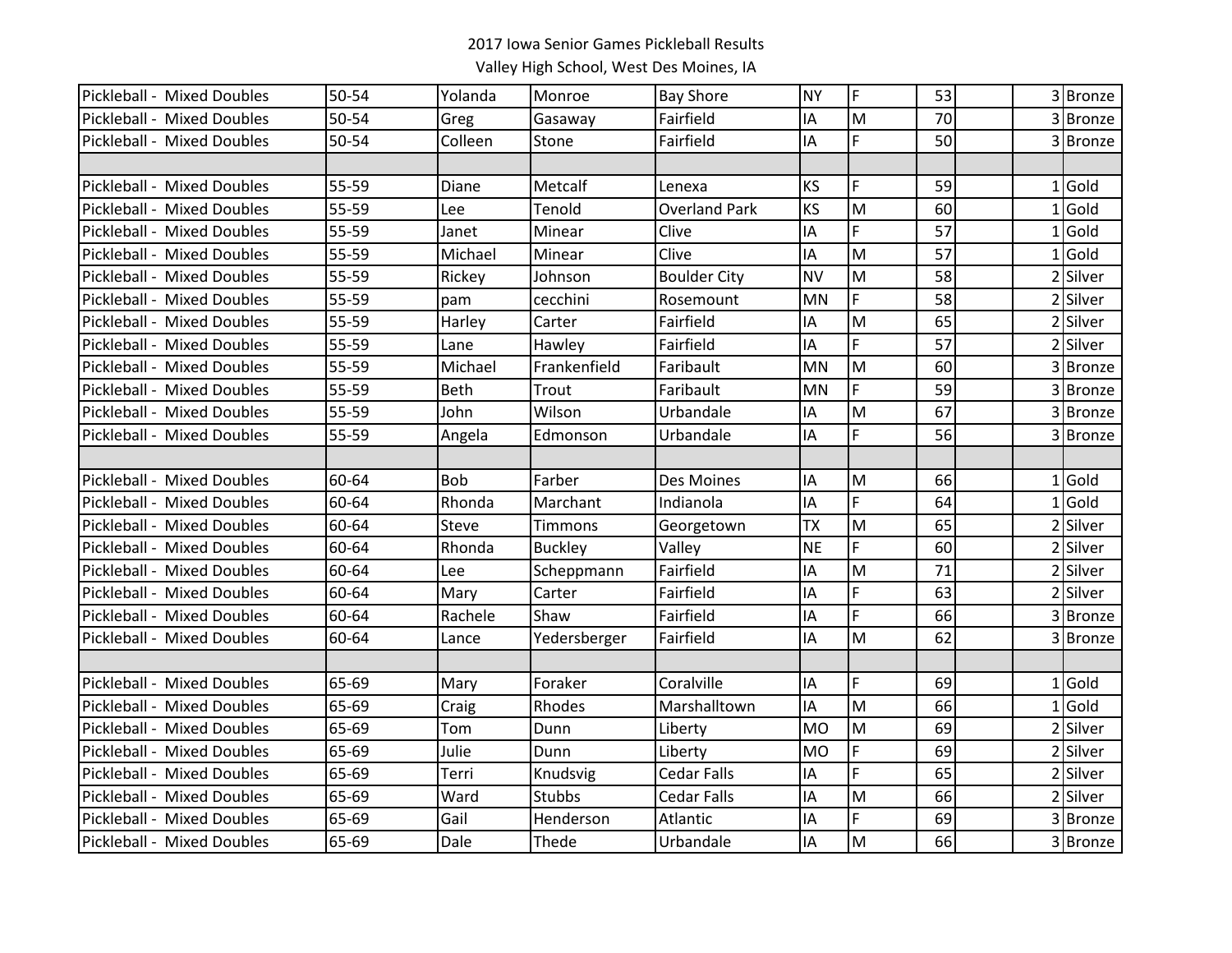| Pickleball - Mixed Doubles | 50-54 | Yolanda      | Monroe         | <b>Bay Shore</b>     | <b>NY</b> | F  | 53 | 3 Bronze |
|----------------------------|-------|--------------|----------------|----------------------|-----------|----|----|----------|
| Pickleball - Mixed Doubles | 50-54 | Greg         | Gasaway        | Fairfield            | IA        | M  | 70 | 3Bronze  |
| Pickleball - Mixed Doubles | 50-54 | Colleen      | Stone          | Fairfield            | IA        | F. | 50 | 3 Bronze |
|                            |       |              |                |                      |           |    |    |          |
| Pickleball - Mixed Doubles | 55-59 | Diane        | Metcalf        | Lenexa               | KS        | F  | 59 | $1$ Gold |
| Pickleball - Mixed Doubles | 55-59 | Lee          | Tenold         | <b>Overland Park</b> | KS        | M  | 60 | $1$ Gold |
| Pickleball - Mixed Doubles | 55-59 | Janet        | Minear         | Clive                | IA        | F  | 57 | $1$ Gold |
| Pickleball - Mixed Doubles | 55-59 | Michael      | Minear         | Clive                | IA        | M  | 57 | $1$ Gold |
| Pickleball - Mixed Doubles | 55-59 | Rickey       | Johnson        | <b>Boulder City</b>  | <b>NV</b> | M  | 58 | 2 Silver |
| Pickleball - Mixed Doubles | 55-59 | pam          | cecchini       | Rosemount            | MN        | F  | 58 | 2 Silver |
| Pickleball - Mixed Doubles | 55-59 | Harley       | Carter         | Fairfield            | IA        | M  | 65 | 2 Silver |
| Pickleball - Mixed Doubles | 55-59 | Lane         | Hawley         | Fairfield            | IA        | F  | 57 | 2 Silver |
| Pickleball - Mixed Doubles | 55-59 | Michael      | Frankenfield   | Faribault            | <b>MN</b> | M  | 60 | 3 Bronze |
| Pickleball - Mixed Doubles | 55-59 | Beth         | Trout          | Faribault            | <b>MN</b> | F. | 59 | 3 Bronze |
| Pickleball - Mixed Doubles | 55-59 | John         | Wilson         | Urbandale            | IA        | M  | 67 | 3 Bronze |
| Pickleball - Mixed Doubles | 55-59 | Angela       | Edmonson       | Urbandale            | IA        | F  | 56 | 3 Bronze |
|                            |       |              |                |                      |           |    |    |          |
| Pickleball - Mixed Doubles | 60-64 | <b>Bob</b>   | Farber         | Des Moines           | IA        | M  | 66 | $1$ Gold |
| Pickleball - Mixed Doubles | 60-64 | Rhonda       | Marchant       | Indianola            | IA        | F. | 64 | $1$ Gold |
| Pickleball - Mixed Doubles | 60-64 | <b>Steve</b> | Timmons        | Georgetown           | <b>TX</b> | M  | 65 | 2 Silver |
| Pickleball - Mixed Doubles | 60-64 | Rhonda       | <b>Buckley</b> | Valley               | <b>NE</b> | F  | 60 | 2 Silver |
| Pickleball - Mixed Doubles | 60-64 | Lee          | Scheppmann     | Fairfield            | IA        | M  | 71 | 2 Silver |
| Pickleball - Mixed Doubles | 60-64 | Mary         | Carter         | Fairfield            | IA        | F. | 63 | 2 Silver |
| Pickleball - Mixed Doubles | 60-64 | Rachele      | Shaw           | Fairfield            | IA        | F. | 66 | 3 Bronze |
| Pickleball - Mixed Doubles | 60-64 | Lance        | Yedersberger   | Fairfield            | IA        | M  | 62 | 3 Bronze |
|                            |       |              |                |                      |           |    |    |          |
| Pickleball - Mixed Doubles | 65-69 | Mary         | Foraker        | Coralville           | IA        | F. | 69 | $1$ Gold |
| Pickleball - Mixed Doubles | 65-69 | Craig        | Rhodes         | Marshalltown         | IA        | M  | 66 | $1$ Gold |
| Pickleball - Mixed Doubles | 65-69 | Tom          | Dunn           | Liberty              | <b>MO</b> | M  | 69 | 2 Silver |
| Pickleball - Mixed Doubles | 65-69 | Julie        | Dunn           | Liberty              | <b>MO</b> | F  | 69 | 2 Silver |
| Pickleball - Mixed Doubles | 65-69 | Terri        | Knudsvig       | <b>Cedar Falls</b>   | IA        | F  | 65 | 2 Silver |
| Pickleball - Mixed Doubles | 65-69 | Ward         | <b>Stubbs</b>  | <b>Cedar Falls</b>   | ΙA        | M  | 66 | Silver   |
| Pickleball - Mixed Doubles | 65-69 | Gail         | Henderson      | Atlantic             | ΙA        | F. | 69 | 3 Bronze |
| Pickleball - Mixed Doubles | 65-69 | Dale         | Thede          | Urbandale            | IA        | M  | 66 | 3Bronze  |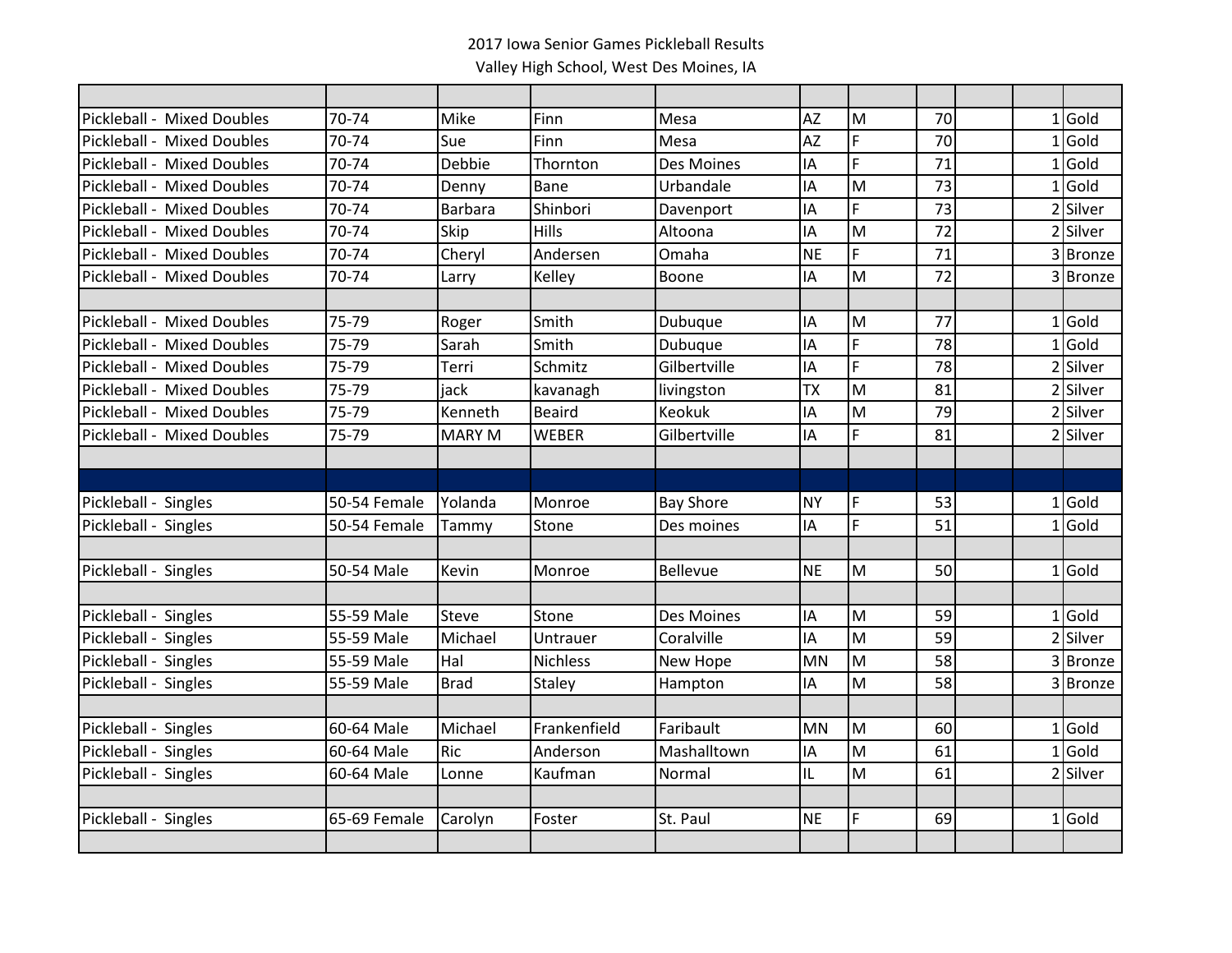| Pickleball - Mixed Doubles | 70-74        | Mike           | Finn          | Mesa              | <b>AZ</b> | M              | 70 |  | $1$ Gold |
|----------------------------|--------------|----------------|---------------|-------------------|-----------|----------------|----|--|----------|
| Pickleball - Mixed Doubles | 70-74        | Sue            | Finn          | Mesa              | <b>AZ</b> | F              | 70 |  | $1$ Gold |
| Pickleball - Mixed Doubles | 70-74        | Debbie         | Thornton      | <b>Des Moines</b> | IA        | $\overline{F}$ | 71 |  | $1$ Gold |
| Pickleball - Mixed Doubles | 70-74        | Denny          | <b>Bane</b>   | Urbandale         | IA        | M              | 73 |  | $1$ Gold |
| Pickleball - Mixed Doubles | 70-74        | <b>Barbara</b> | Shinbori      | Davenport         | IA        | F              | 73 |  | 2 Silver |
| Pickleball - Mixed Doubles | 70-74        | <b>Skip</b>    | Hills         | Altoona           | IA        | M              | 72 |  | 2 Silver |
| Pickleball - Mixed Doubles | 70-74        | Cheryl         | Andersen      | Omaha             | <b>NE</b> | $\overline{F}$ | 71 |  | 3 Bronze |
| Pickleball - Mixed Doubles | 70-74        | Larry          | Kelley        | Boone             | IA        | M              | 72 |  | 3 Bronze |
|                            |              |                |               |                   |           |                |    |  |          |
| Pickleball - Mixed Doubles | 75-79        | Roger          | Smith         | <b>Dubuque</b>    | IA        | M              | 77 |  | $1$ Gold |
| Pickleball - Mixed Doubles | 75-79        | Sarah          | Smith         | <b>Dubuque</b>    | IA        | F              | 78 |  | $1$ Gold |
| Pickleball - Mixed Doubles | 75-79        | Terri          | Schmitz       | Gilbertville      | IA        | F              | 78 |  | 2 Silver |
| Pickleball - Mixed Doubles | 75-79        | jack           | kavanagh      | livingston        | <b>TX</b> | M              | 81 |  | 2 Silver |
| Pickleball - Mixed Doubles | 75-79        | Kenneth        | <b>Beaird</b> | <b>Keokuk</b>     | IA        | M              | 79 |  | 2 Silver |
| Pickleball - Mixed Doubles | 75-79        | <b>MARY M</b>  | <b>WEBER</b>  | Gilbertville      | IA        | Ë              | 81 |  | 2 Silver |
|                            |              |                |               |                   |           |                |    |  |          |
|                            |              |                |               |                   |           |                |    |  |          |
| Pickleball - Singles       | 50-54 Female | Yolanda        | Monroe        | <b>Bay Shore</b>  | <b>NY</b> | F              | 53 |  | $1$ Gold |
| Pickleball - Singles       | 50-54 Female | Tammy          | Stone         | Des moines        | IA        | Ë              | 51 |  | $1$ Gold |
|                            |              |                |               |                   |           |                |    |  |          |
| Pickleball - Singles       | 50-54 Male   | Kevin          | Monroe        | Bellevue          | <b>NE</b> | M              | 50 |  | $1$ Gold |
|                            |              |                |               |                   |           |                |    |  |          |
| Pickleball - Singles       | 55-59 Male   | <b>Steve</b>   | Stone         | Des Moines        | IA        | M              | 59 |  | $1$ Gold |
| Pickleball - Singles       | 55-59 Male   | Michael        | Untrauer      | Coralville        | IA        | M              | 59 |  | 2 Silver |
| Pickleball - Singles       | 55-59 Male   | Hal            | Nichless      | New Hope          | <b>MN</b> | M              | 58 |  | 3 Bronze |
| Pickleball - Singles       | 55-59 Male   | <b>Brad</b>    | Staley        | Hampton           | IA        | M              | 58 |  | 3 Bronze |
|                            |              |                |               |                   |           |                |    |  |          |
| Pickleball - Singles       | 60-64 Male   | Michael        | Frankenfield  | Faribault         | <b>MN</b> | M              | 60 |  | $1$ Gold |
| Pickleball - Singles       | 60-64 Male   | <b>Ric</b>     | Anderson      | Mashalltown       | IA        | M              | 61 |  | $1$ Gold |
| Pickleball - Singles       | 60-64 Male   | Lonne          | Kaufman       | Normal            | IL        | M              | 61 |  | 2 Silver |
|                            |              |                |               |                   |           |                |    |  |          |
| Pickleball - Singles       | 65-69 Female | Carolyn        | Foster        | St. Paul          | <b>NE</b> | F              | 69 |  | $1$ Gold |
|                            |              |                |               |                   |           |                |    |  |          |